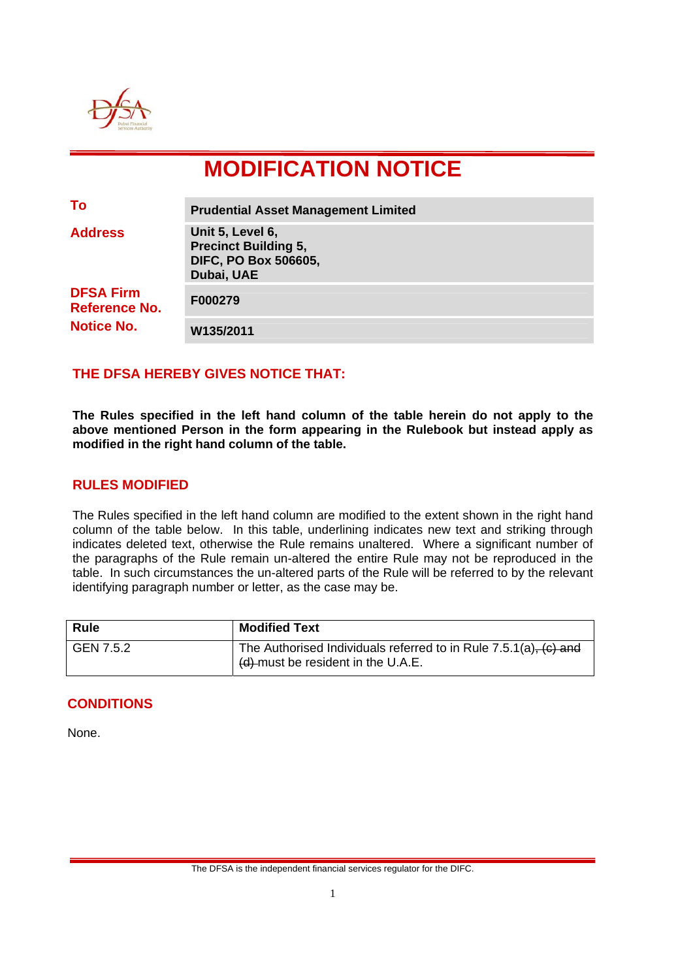

# **MODIFICATION NOTICE**

| To                                                            | <b>Prudential Asset Management Limited</b>                                                   |
|---------------------------------------------------------------|----------------------------------------------------------------------------------------------|
| <b>Address</b>                                                | Unit 5, Level 6,<br><b>Precinct Building 5,</b><br><b>DIFC, PO Box 506605,</b><br>Dubai, UAE |
| <b>DFSA Firm</b><br><b>Reference No.</b><br><b>Notice No.</b> | F000279                                                                                      |
|                                                               | W135/2011                                                                                    |

## **THE DFSA HEREBY GIVES NOTICE THAT:**

**The Rules specified in the left hand column of the table herein do not apply to the above mentioned Person in the form appearing in the Rulebook but instead apply as modified in the right hand column of the table.** 

### **RULES MODIFIED**

The Rules specified in the left hand column are modified to the extent shown in the right hand column of the table below. In this table, underlining indicates new text and striking through indicates deleted text, otherwise the Rule remains unaltered. Where a significant number of the paragraphs of the Rule remain un-altered the entire Rule may not be reproduced in the table. In such circumstances the un-altered parts of the Rule will be referred to by the relevant identifying paragraph number or letter, as the case may be.

| <b>Rule</b> | <b>Modified Text</b>                                                                                                      |
|-------------|---------------------------------------------------------------------------------------------------------------------------|
| GEN 7.5.2   | The Authorised Individuals referred to in Rule $7.5.1(a)$ , $(c)$ and<br>$\frac{1}{2}$ (d)-must be resident in the U.A.E. |

### **CONDITIONS**

None.